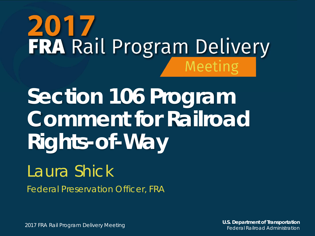# **2017**<br>FRA Rail Program Delivery Meeting

**Section 106 Program Comment for Railroad Rights-of-Way**

#### Laura Shick

Federal Preservation Officer, FRA

2017 FRA Rail Program Delivery Meeting **U.S. Department of Transportation** Federal Railroad Administration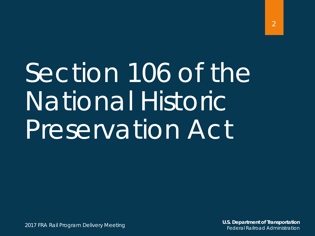# Section 106 of the National Historic Preservation Act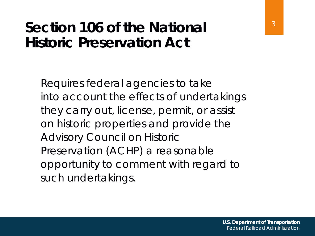#### **Section 106 of the National Historic Preservation Act**

Requires federal agencies to take into account the effects of undertakings they carry out, license, permit, or assist on historic properties and provide the Advisory Council on Historic Preservation (ACHP) a reasonable opportunity to comment with regard to such undertakings.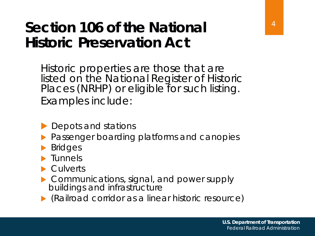#### **Section 106 of the National Historic Preservation Act**

Historic properties are those that are listed on the National Register of Historic Places (NRHP) or eligible for such listing. Examples include:

- Depots and stations
- Passenger boarding platforms and canopies
- Bridges
- Tunnels
- **Culverts**
- Communications, signal, and power supply buildings and infrastructure
- (Railroad corridor as a linear historic resource)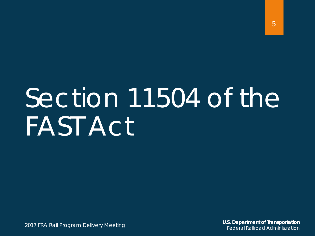# Section 11504 of the FAST Act

**U.S. Department of Transportation** Federal Railroad Administration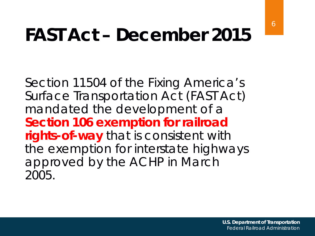### **FAST Act – December 2015**

Section 11504 of the Fixing America's Surface Transportation Act (FAST Act) mandated the development of a **Section 106 exemption for railroad rights-of-way** that is consistent with the exemption for interstate highways approved by the ACHP in March 2005.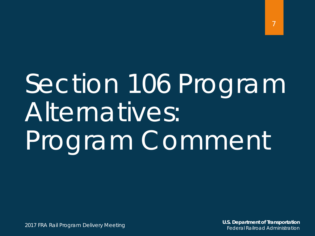# Section 106 Program Alternatives: Program Comment

2017 FRA Rail Program Delivery Meeting

**U.S. Department of Transportation** Federal Railroad Administration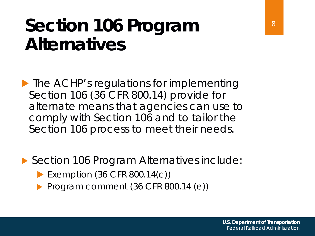#### **Section 106 Program Alternatives**

**The ACHP's regulations for implementing** Section 106 (36 CFR 800.14) provide for alternate means that agencies can use to comply with Section 106 and to tailor the Section 106 process to meet their needs.

▶ Section 106 Program Alternatives include:

- Exemption (36 CFR 800.14(c))
- Program comment (36 CFR 800.14 (e))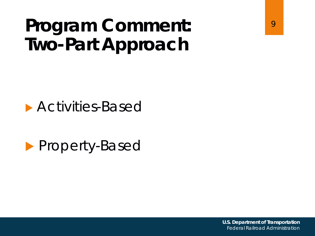### **Program Comment: Two-Part Approach**



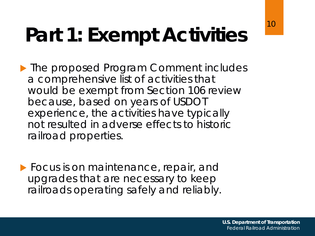## **Part 1: Exempt Activities**

▶ The proposed Program Comment includes a comprehensive list of activities that would be exempt from Section 106 review because, based on years of USDOT experience, the activities have typically not resulted in adverse effects to historic railroad properties.

**Focus is on maintenance, repair, and** upgrades that are necessary to keep railroads operating safely and reliably.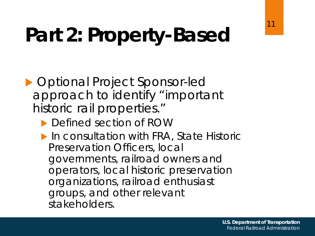## **Part 2: Property-Based**

- ▶ Optional Project Sponsor-led approach to identify "important historic rail properties."
	- ▶ Defined section of ROW
	- ▶ In consultation with FRA, State Historic Preservation Officers, local governments, railroad owners and operators, local historic preservation organizations, railroad enthusiast groups, and other relevant stakeholders.

11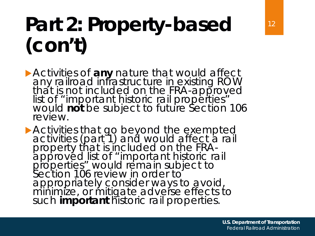## **Part 2: Property-based (con't)**

**Activities of any nature that would affect** any railroad infrastructure in existing ROW that is not included on the FRA-approved<br>list of "important historic rail properties" would *not* be subject to future Section 106 review.

Activities that go beyond the exempted activities (part 1) and would affect a rail property that is included on the FRA- approved list of "important historic rail properties" would remain subject to Section 106 review in order to appropriately consider ways to avoid, minimize, or mitigate adverse effects to such *important* historic rail properties.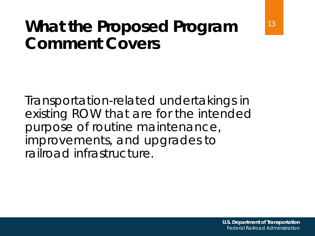#### **What the Proposed Program Comment Covers**

Transportation-related undertakings in existing ROW that are for the intended purpose of routine maintenance, improvements, and upgrades to railroad infrastructure.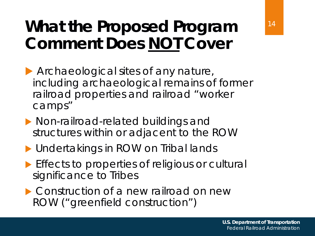#### **What the Proposed Program Comment Does NOT Cover**

- Archaeological sites of any nature, including archaeological remains of former railroad properties and railroad "worker camps"
- **Non-railroad-related buildings and** structures within or adjacent to the ROW
- **Indertakings in ROW on Tribal lands**
- **Effects to properties of religious or cultural** significance to Tribes
- ▶ Construction of a new railroad on new ROW ("greenfield construction")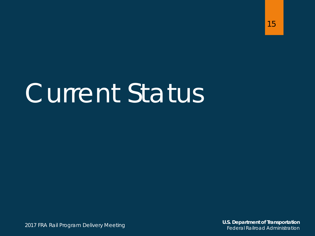# Current Status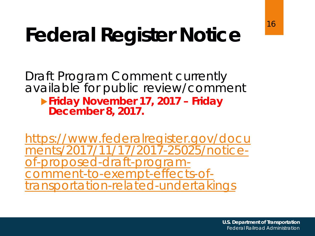#### 16

## **Federal Register Notice**

Draft Program Comment currently available for public review/comment

#### **Friday November 17, 2017 – Friday December 8, 2017.**

https://www.federalregister.gov/docu [ments/2017/11/17/2017-25025/notice](https://www.federalregister.gov/documents/2017/11/17/2017-25025/notice-of-proposed-draft-program-comment-to-exempt-effects-of-transportation-related-undertakings)of-proposed-draft-program-<br>comment-to-exempt-effects-oftransportation-related-undertakings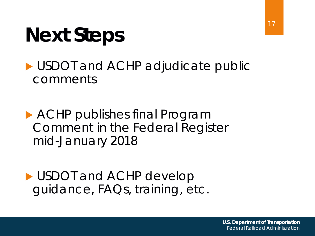## **Next Steps**

USDOT and ACHP adjudicate public comments

 ACHP publishes final Program Comment in the Federal Register mid-January 2018

USDOT and ACHP develop guidance, FAQs, training, etc.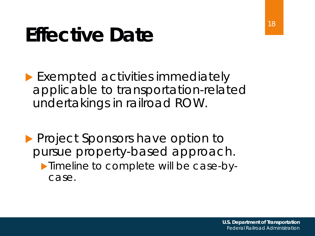## **Effective Date**

**Exempted activities immediately** applicable to transportation-related undertakings in railroad ROW.

**Project Sponsors have option to** pursue property-based approach. **Timeline to complete will be case-by**case.